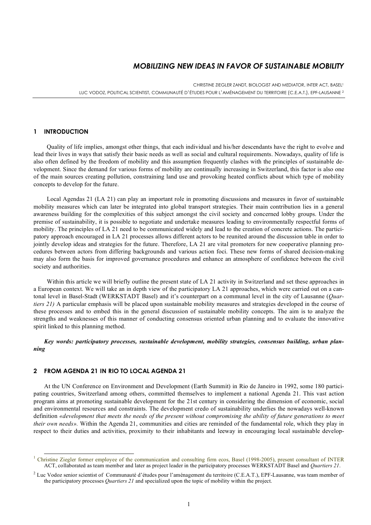# *MOBILIZING NEW IDEAS IN FAVOR OF SUSTAINABLE MOBILITY*

CHRISTINE ZIEGLER ZANDT, BIOLOGIST AND MEDIATOR, INTER ACT, BASEL1 LUC VODOZ, POLITICAL SCIENTIST, COMMUNAUTÉ D'ÉTUDES POUR L'AMÉNAGEMENT DU TERRITOIRE (C.E.A.T.), EPF-LAUSANNE <sup>2</sup>

### **1 INTRODUCTION**

Quality of life implies, amongst other things, that each individual and his/her descendants have the right to evolve and lead their lives in ways that satisfy their basic needs as well as social and cultural requirements. Nowadays, quality of life is also often defined by the freedom of mobility and this assumption frequently clashes with the principles of sustainable development. Since the demand for various forms of mobility are continually increasing in Switzerland, this factor is also one of the main sources creating pollution, constraining land use and provoking heated conflicts about which type of mobility concepts to develop for the future.

Local Agendas 21 (LA 21) can play an important role in promoting discussions and measures in favor of sustainable mobility measures which can later be integrated into global transport strategies. Their main contribution lies in a general awareness building for the complexities of this subject amongst the civil society and concerned lobby groups. Under the premise of sustainability, it is possible to negotiate and undertake measures leading to environmentally respectful forms of mobility. The principles of LA 21 need to be communicated widely and lead to the creation of concrete actions. The participatory approach encouraged in LA 21 processes allows different actors to be reunited around the discussion table in order to jointly develop ideas and strategies for the future. Therefore, LA 21 are vital promoters for new cooperative planning procedures between actors from differing backgrounds and various action foci. These new forms of shared decision-making may also form the basis for improved governance procedures and enhance an atmosphere of confidence between the civil society and authorities.

Within this article we will briefly outline the present state of LA 21 activity in Switzerland and set these approaches in a European context. We will take an in depth view of the participatory LA 21 approaches, which were carried out on a cantonal level in Basel-Stadt (WERKSTADT Basel) and it's counterpart on a communal level in the city of Lausanne (*Quartiers 21)* A particular emphasis will be placed upon sustainable mobility measures and strategies developed in the course of these processes and to embed this in the general discussion of sustainable mobility concepts. The aim is to analyze the strengths and weaknesses of this manner of conducting consensus oriented urban planning and to evaluate the innovative spirit linked to this planning method.

*Key words: participatory processes, sustainable development, mobility strategies, consensus building, urban planning*

## **2 FROM AGENDA 21 IN RIO TO LOCAL AGENDA 21**

At the UN Conference on Environment and Development (Earth Summit) in Rio de Janeiro in 1992, some 180 participating countries, Switzerland among others, committed themselves to implement a national Agenda 21. This vast action program aims at promoting sustainable development for the 21st century in considering the dimension of economic, social and environmental resources and constraints. The development credo of sustainability underlies the nowadays well-known definition «development that meets the needs of the present without compromising the ability of future generations to meet *their own needs».* Within the Agenda 21, communities and cities are reminded of the fundamental role, which they play in respect to their duties and activities, proximity to their inhabitants and leeway in encouraging local sustainable develop-

<sup>&</sup>lt;sup>1</sup> Christine Ziegler former employee of the communication and consulting firm ecos, Basel (1998-2005), present consultant of INTER ACT, collaborated as team member and later as project leader in the participatory processes WERKSTADT Basel and *Quartiers 21*.

<sup>&</sup>lt;sup>2</sup> Luc Vodoz senior scientist of Communauté d'études pour l'aménagement du territoire (C.E.A.T.), EPF-Lausanne, was team member of the participatory processes *Quartiers 21* and specialized upon the topic of mobility within the project.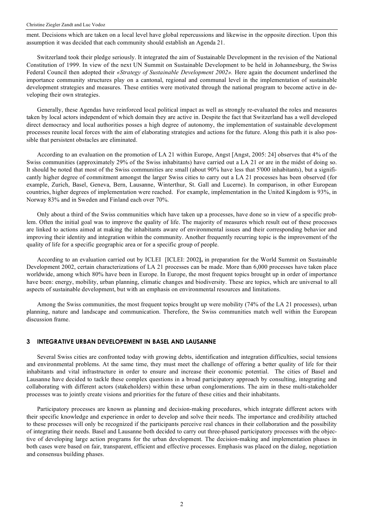ment. Decisions which are taken on a local level have global repercussions and likewise in the opposite direction. Upon this assumption it was decided that each community should establish an Agenda 21.

Switzerland took their pledge seriously. It integrated the aim of Sustainable Development in the revision of the National Constitution of 1999. In view of the next UN Summit on Sustainable Development to be held in Johannesburg, the Swiss Federal Council then adopted their *«Strategy of Sustainable Development 2002».* Here again the document underlined the importance community structures play on a cantonal, regional and communal level in the implementation of sustainable development strategies and measures. These entities were motivated through the national program to become active in developing their own strategies.

Generally, these Agendas have reinforced local political impact as well as strongly re-evaluated the roles and measures taken by local actors independent of which domain they are active in. Despite the fact that Switzerland has a well developed direct democracy and local authorities posses a high degree of autonomy, the implementation of sustainable development processes reunite local forces with the aim of elaborating strategies and actions for the future. Along this path it is also possible that persistent obstacles are eliminated.

According to an evaluation on the promotion of LA 21 within Europe, Angst [Angst, 2005: 24] observes that 4% of the Swiss communities (approximately 29% of the Swiss inhabitants) have carried out a LA 21 or are in the midst of doing so. It should be noted that most of the Swiss communities are small (about 90% have less that 5'000 inhabitants), but a significantly higher degree of commitment amongst the larger Swiss cities to carry out a LA 21 processes has been observed (for example, Zurich, Basel, Geneva, Bern, Lausanne, Winterthur, St. Gall and Lucerne). In comparison, in other European countries, higher degrees of implementation were reached. For example, implementation in the United Kingdom is 93%, in Norway 83% and in Sweden and Finland each over 70%.

Only about a third of the Swiss communities which have taken up a processes, have done so in view of a specific problem. Often the initial goal was to improve the quality of life. The majority of measures which result out of these processes are linked to actions aimed at making the inhabitants aware of environmental issues and their corresponding behavior and improving their identity and integration within the community. Another frequently recurring topic is the improvement of the quality of life for a specific geographic area or for a specific group of people.

According to an evaluation carried out by ICLEI [ICLEI: 2002**],** in preparation for the World Summit on Sustainable Development 2002, certain characterizations of LA 21 processes can be made. More than 6,000 processes have taken place worldwide, among which 80% have been in Europe. In Europe, the most frequent topics brought up in order of importance have been: energy, mobility, urban planning, climatic changes and biodiversity. These are topics, which are universal to all aspects of sustainable development, but with an emphasis on environmental resources and limitations.

Among the Swiss communities, the most frequent topics brought up were mobility (74% of the LA 21 processes), urban planning, nature and landscape and communication. Therefore, the Swiss communities match well within the European discussion frame.

## **3 INTEGRATIVE URBAN DEVELOPEMENT IN BASEL AND LAUSANNE**

Several Swiss cities are confronted today with growing debts, identification and integration difficulties, social tensions and environmental problems. At the same time, they must meet the challenge of offering a better quality of life for their inhabitants and vital infrastructure in order to ensure and increase their economic potential. The cities of Basel and Lausanne have decided to tackle these complex questions in a broad participatory approach by consulting, integrating and collaborating with different actors (stakeholders) within these urban conglomerations. The aim in these multi-stakeholder processes was to jointly create visions and priorities for the future of these cities and their inhabitants.

Participatory processes are known as planning and decision-making procedures, which integrate different actors with their specific knowledge and experience in order to develop and solve their needs. The importance and credibility attached to these processes will only be recognized if the participants perceive real chances in their collaboration and the possibility of integrating their needs. Basel and Lausanne both decided to carry out three-phased participatory processes with the objective of developing large action programs for the urban development. The decision-making and implementation phases in both cases were based on fair, transparent, efficient and effective processes. Emphasis was placed on the dialog, negotiation and consensus building phases.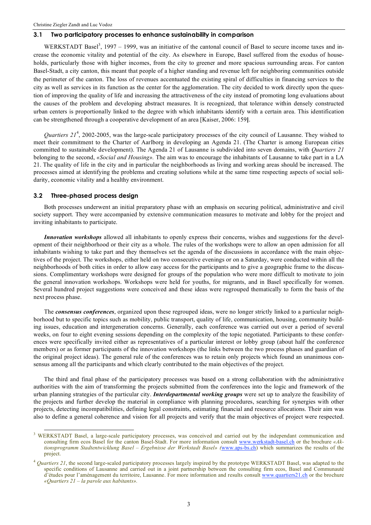#### **3.1 Two participatory processes to enhance sustainability in comparison**

WERKSTADT Basel<sup>3</sup>, 1997 – 1999, was an initiative of the cantonal council of Basel to secure income taxes and increase the economic vitality and potential of the city. As elsewhere in Europe, Basel suffered from the exodus of households, particularly those with higher incomes, from the city to greener and more spacious surrounding areas. For canton Basel-Stadt, a city canton, this meant that people of a higher standing and revenue left for neighboring communities outside the perimeter of the canton. The loss of revenues accentuated the existing spiral of difficulties in financing services to the city as well as services in its function as the center for the agglomeration. The city decided to work directly upon the question of improving the quality of life and increasing the attractiveness of the city instead of promoting long evaluations about the causes of the problem and developing abstract measures. It is recognized, that tolerance within densely constructed urban centers is proportionally linked to the degree with which inhabitants identify with a certain area. This identification can be strengthened through a cooperative development of an area [Kaiser, 2006: 159**]**.

*Quartiers 21*<sup>4</sup> , 2002-2005, was the large-scale participatory processes of the city council of Lausanne. They wished to meet their commitment to the Charter of Aarlborg in developing an Agenda 21. (The Charter is among European cities committed to sustainable development). The Agenda 21 of Lausanne is subdivided into seven domains, with *Quartiers 21* belonging to the second, *«Social and Housing».* The aim was to encourage the inhabitants of Lausanne to take part in a LA 21. The quality of life in the city and in particular the neighborhoods as living and working areas should be increased. The processes aimed at identifying the problems and creating solutions while at the same time respecting aspects of social solidarity, economic vitality and a healthy environment.

### **3.2 Three-phased process design**

Both processes underwent an initial preparatory phase with an emphasis on securing political, administrative and civil society support. They were accompanied by extensive communication measures to motivate and lobby for the project and inviting inhabitants to participate.

*Innovation workshops* allowed all inhabitants to openly express their concerns, wishes and suggestions for the development of their neighborhood or their city as a whole. The rules of the workshops were to allow an open admission for all inhabitants wishing to take part and they themselves set the agenda of the discussions in accordance with the main objectives of the project. The workshops, either held on two consecutive evenings or on a Saturday, were conducted within all the neighborhoods of both cities in order to allow easy access for the participants and to give a geographic frame to the discussions. Complimentary workshops were designed for groups of the population who were more difficult to motivate to join the general innovation workshops. Workshops were held for youths, for migrants, and in Basel specifically for women. Several hundred project suggestions were conceived and these ideas were regrouped thematically to form the basis of the next process phase.

The *consensus conferences*, organized upon these regrouped ideas, were no longer strictly linked to a particular neighborhood but to specific topics such as mobility, public transport, quality of life, communication, housing, community building issues, education and intergeneration concerns. Generally, each conference was carried out over a period of several weeks, on four to eight evening sessions depending on the complexity of the topic negotiated. Participants to these conferences were specifically invited either as representatives of a particular interest or lobby group (about half the conference members) or as former participants of the innovation workshops (the links between the two process phases and guardian of the original project ideas). The general rule of the conferences was to retain only projects which found an unanimous consensus among all the participants and which clearly contributed to the main objectives of the project.

The third and final phase of the participatory processes was based on a strong collaboration with the administrative authorities with the aim of transforming the projects submitted from the conferences into the logic and framework of the urban planning strategies of the particular city. *Interdepartmental working groups* were set up to analyze the feasibility of the projects and further develop the material in compliance with planning procedures, searching for synergies with other projects, detecting incompatibilities, defining legal constraints, estimating financial and resource allocations. Their aim was also to define a general coherence and vision for all projects and verify that the main objectives of project were respected.

<sup>&</sup>lt;sup>3</sup> WERKSTADT Basel, a large-scale participatory processes, was conceived and carried out by the independant communication and consulting firm ecos Basel for the canton Basel-Stadt. For more information consult www.werkstadt-basel.ch or the brochure *«Aktionsprogramm Stadtentwicklung Basel – Ergebnisse der Werkstadt Basel» (*www.aps-bs.ch) which summarizes the results of the project.

<sup>&</sup>lt;sup>4</sup> Quartiers 21, the second large-scaled participatory processes largely inspired by the prototype WERKSTADT Basel, was adapted to the specific conditions of Lausanne and carried out in a joint partnership between the consulting firm ecos, Basel and Communauté d'études pour l'aménagement du territoire, Lausanne. For more information and results consult www.quartiers21.ch or the brochure *«Quartiers 21 – la parole aux habitants».*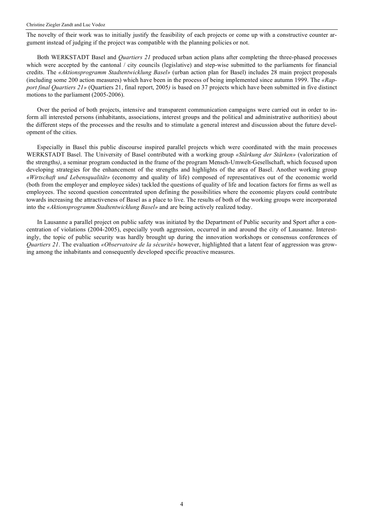The novelty of their work was to initially justify the feasibility of each projects or come up with a constructive counter argument instead of judging if the project was compatible with the planning policies or not.

Both WERKSTADT Basel and *Quartiers 21* produced urban action plans after completing the three-phased processes which were accepted by the cantonal / city councils (legislative) and step-wise submitted to the parliaments for financial credits. The *«Aktionsprogramm Stadtentwicklung Basel»* (urban action plan for Basel) includes 28 main project proposals (including some 200 action measures) which have been in the process of being implemented since autumn 1999. The *«Rapport final Quartiers 21»* (Quartiers 21, final report, 2005*)* is based on 37 projects which have been submitted in five distinct motions to the parliament (2005-2006).

Over the period of both projects, intensive and transparent communication campaigns were carried out in order to inform all interested persons (inhabitants, associations, interest groups and the political and administrative authorities) about the different steps of the processes and the results and to stimulate a general interest and discussion about the future development of the cities.

Especially in Basel this public discourse inspired parallel projects which were coordinated with the main processes WERKSTADT Basel. The University of Basel contributed with a working group *«Stärkung der Stärken»* (valorization of the strengths*)*, a seminar program conducted in the frame of the program Mensch-Umwelt-Gesellschaft, which focused upon developing strategies for the enhancement of the strengths and highlights of the area of Basel. Another working group *«Wirtschaft und Lebensqualität»* (economy and quality of life) composed of representatives out of the economic world (both from the employer and employee sides) tackled the questions of quality of life and location factors for firms as well as employees. The second question concentrated upon defining the possibilities where the economic players could contribute towards increasing the attractiveness of Basel as a place to live. The results of both of the working groups were incorporated into the *«Aktionsprogramm Stadtentwicklung Basel»* and are being actively realized today.

In Lausanne a parallel project on public safety was initiated by the Department of Public security and Sport after a concentration of violations (2004-2005), especially youth aggression, occurred in and around the city of Lausanne. Interestingly, the topic of public security was hardly brought up during the innovation workshops or consensus conferences of *Quartiers 21*. The evaluation *«Observatoire de la sécurité»* however, highlighted that a latent fear of aggression was growing among the inhabitants and consequently developed specific proactive measures.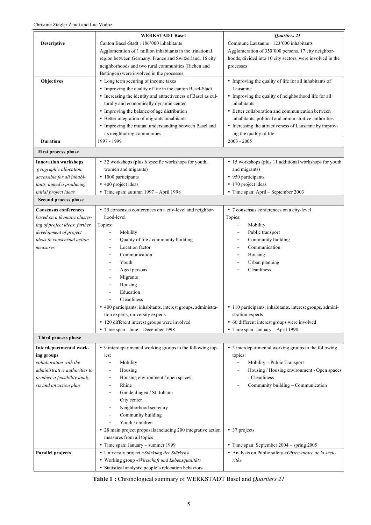|                               | <b>WERKSTADT Basel</b>                                        | Quartiers 21                                              |
|-------------------------------|---------------------------------------------------------------|-----------------------------------------------------------|
| Descriptive                   | Canton Basel-Stadt: 186'000 inhabitants                       | Commune Lausanne: 123'000 inhabitants                     |
|                               | Agglomeration of 1 million inhabitants in the trinational     | Agglomeration of 350'000 persons. 17 city neighbor-       |
|                               | region between Germany, France and Switzerland. 16 city       | hoods, divided into 10 city sectors, were involved in the |
|                               | neighborhoods and two rural communities (Riehen and           | processes                                                 |
|                               | Bettingen) were involved in the processes                     |                                                           |
| Objectives                    | • Long term securing of income taxes                          | • Improving the quality of life for all inhabitants of    |
|                               | • Improving the quality of life in the canton Basel-Stadt     | Lausanne                                                  |
|                               | • Increasing the identity and attractiveness of Basel as cul- | • Improving the quality of neighborhood life for all      |
|                               | turally and economically dynamic center                       | inhabitants                                               |
|                               | • Improving the balance of age distribution                   | • Better collaboration and communication between          |
|                               | • Better integration of migrants inhabitants                  | inhabitants, political and administrative authorities     |
|                               | • Improving the mutual understanding between Basel and        | • Increasing the attractiveness of Lausanne by improv-    |
|                               | its neighboring communities                                   | ing the quality of life                                   |
| <b>Duration</b>               | 1997 - 1999                                                   | $2003 - 2005$                                             |
| First process phase           |                                                               |                                                           |
| <b>Innovation workshops</b>   | • 32 workshops (plus 6 specific workshops for youth,          | • 15 workshops (plus 11 additional workshops for youth    |
| geographic allocation,        | women and migrants)                                           | and migrants)                                             |
| accessible for all inhabi-    | · 1000 participants                                           | • 950 participants                                        |
| tants, aimed a producing      | • 400 project ideas                                           | • 170 project ideas                                       |
| initial project ideas         | • Time span: autumn 1997 - April 1998                         | · Time span: April - September 2003                       |
| Second process phase          |                                                               |                                                           |
| <b>Consensus conferences</b>  | • 25 consensus conferences on a city-level and neighbor-      | • 7 consensus conferences on a city-level                 |
| based on a thematic cluster-  | hood-level                                                    | Topics:                                                   |
| ing of project ideas, further | Topics:                                                       | Mobility<br>$\overline{a}$                                |
| development of project        | Mobility<br>-                                                 | Public transport<br>$\overline{\phantom{0}}$              |
| ideas to consensual action    | Quality of life / community building                          | Community building<br>۰                                   |
| measures                      | Location factor                                               | Communication                                             |
|                               | Communication                                                 | Housing                                                   |
|                               | Youth                                                         | Urban planning                                            |
|                               | Aged persons                                                  | Cleanliness                                               |
|                               | Migrants                                                      |                                                           |
|                               | Housing                                                       |                                                           |
|                               | Education                                                     |                                                           |
|                               | Cleanliness                                                   |                                                           |
|                               | · 400 participants: inhabitants, interest groups, administra- | · 110 participants: inhabitants, interest groups, admini- |
|                               | tion experts, university experts                              | stration experts                                          |
|                               | • 120 different interest groups were involved                 | • 60 different interest groups were involved              |
|                               | • Time span : June - December 1998                            | • Time span: January - April 1998                         |
| Third process phase           |                                                               |                                                           |
| Interdepartmental work-       | • 9 interdepartmental working groups to the following top-    | • 3 interdepartmental working groups to the following     |
| ing groups                    | ics:                                                          | topics:                                                   |
| collaboration with the        | Mobility<br>-                                                 | Mobility - Public Transport<br>-                          |
| administrative authorities to | Housing<br>-                                                  | Housing / Housing environment - Open spaces               |
| produce a feasibility analy-  | Housing environment / open spaces<br>-                        | - Cleanliness                                             |
| sis and an action plan        | Rhine<br>Gundeldingen / St. Johann                            | Community building - Communication                        |
|                               |                                                               |                                                           |
|                               | City center<br>Neighborhood secretary                         |                                                           |
|                               | Community building                                            |                                                           |
|                               | Youth / children                                              |                                                           |
|                               | • 28 main project proposals including 200 integrative action  | • 37 projects                                             |
|                               | measures from all topics                                      |                                                           |
|                               | • Time span: January - summer 1999                            | • Time span: September 2004 – spring 2005                 |
| <b>Parallel projects</b>      | · University project «Stärkung der Stärken»                   | · Analysis on Public safety «Observatoire de la sécu-     |
|                               | • Working group «Wirtschaft und Lebensqualität»               | rité»                                                     |
|                               | • Statistical analysis: people's relocation behaviors         |                                                           |

**Table 1 :** Chronological summary of WERKSTADT Basel and *Quartiers 21*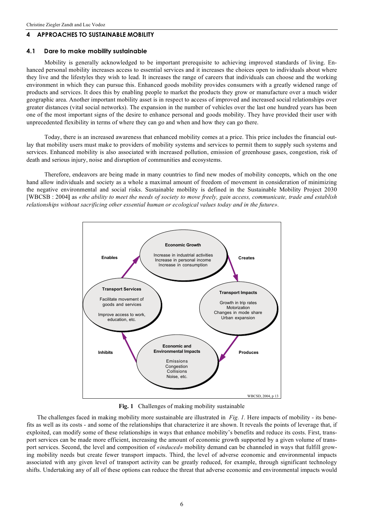## **4 APPROACHES TO SUSTAINABLE MOBILITY**

# **4.1 Dare to make mobility sustainable**

Mobility is generally acknowledged to be important prerequisite to achieving improved standards of living. Enhanced personal mobility increases access to essential services and it increases the choices open to individuals about where they live and the lifestyles they wish to lead. It increases the range of careers that individuals can choose and the working environment in which they can pursue this. Enhanced goods mobility provides consumers with a greatly widened range of products and services. It does this by enabling people to market the products they grow or manufacture over a much wider geographic area. Another important mobility asset is in respect to access of improved and increased social relationships over greater distances (vital social networks). The expansion in the number of vehicles over the last one hundred years has been one of the most important signs of the desire to enhance personal and goods mobility. They have provided their user with unprecedented flexibility in terms of where they can go and when and how they can go there.

Today, there is an increased awareness that enhanced mobility comes at a price. This price includes the financial outlay that mobility users must make to providers of mobility systems and services to permit them to supply such systems and services. Enhanced mobility is also associated with increased pollution, emission of greenhouse gases, congestion, risk of death and serious injury, noise and disruption of communities and ecosystems.

Therefore, endeavors are being made in many countries to find new modes of mobility concepts, which on the one hand allow individuals and society as a whole a maximal amount of freedom of movement in consideration of minimizing the negative environmental and social risks. Sustainable mobility is defined in the Sustainable Mobility Project 2030 [WBCSB : 2004] as «the ability to meet the needs of society to move freely, gain access, communicate, trade and establish *relationships without sacrificing other essential human or ecological values today and in the future».*



**Fig. 1** Challenges of making mobility sustainable

The challenges faced in making mobility more sustainable are illustrated in *Fig. 1.* Here impacts of mobility - its benefits as well as its costs - and some of the relationships that characterize it are shown. It reveals the points of leverage that, if exploited, can modify some of these relationships in ways that enhance mobility's benefits and reduce its costs. First, transport services can be made more efficient, increasing the amount of economic growth supported by a given volume of transport services. Second, the level and composition of *«induced»* mobility demand can be channeled in ways that fulfill growing mobility needs but create fewer transport impacts. Third, the level of adverse economic and environmental impacts associated with any given level of transport activity can be greatly reduced, for example, through significant technology shifts. Undertaking any of all of these options can reduce the threat that adverse economic and environmental impacts would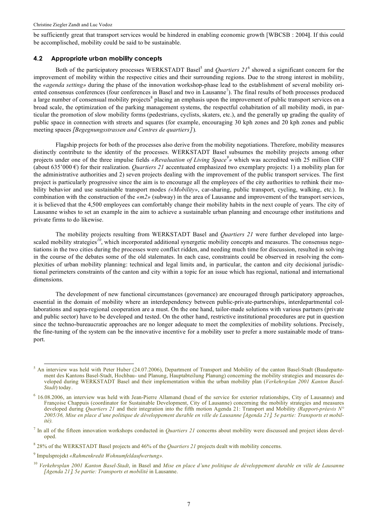be sufficiently great that transport services would be hindered in enabling economic growth [WBCSB : 2004**]**. If this could be accomplisched, mobility could be said to be sustainable.

## **4.2 Appropriate urban mobility concepts**

Both of the participatory processes WERKSTADT Basel<sup>5</sup> and *Quartiers* 21<sup>6</sup> showed a significant concern for the improvement of mobility within the respective cities and their surrounding regions. Due to the strong interest in mobility, the *«agenda setting»* during the phase of the innovation workshop-phase lead to the establishment of several mobility oriented consensus conferences (four conferences in Basel and two in Lausanne<sup>7</sup>). The final results of both processes produced a large number of consensual mobility projects<sup>8</sup> placing an emphasis upon the improvement of public transport services on a broad scale, the optimization of the parking management systems, the respectful cohabitation of all mobility modi, in particular the promotion of slow mobility forms (pedestrians, cyclists, skaters, etc.), and the generally up grading the quality of public space in connection with streets and squares (for example, encouraging 30 kph zones and 20 kph zones and public meeting spaces [*Begegnungsstrassen and Centres de quartiers*] )*.*

Flagship projects for both of the processes also derive from the mobility negotiations. Therefore, mobility measures distinctly contribute to the identity of the processes. WERKSTADT Basel subsumes the mobility projects among other projects under one of the three impulse fields *«Revaluation of Living Space<sup>9</sup> »* which was accredited with 25 million CHF (about 635'000  $\epsilon$ ) for their realization. *Quartiers 21* accentuated emphasized two exemplary projects: 1) a mobility plan for the administrative authorities and 2) seven projects dealing with the improvement of the public transport services. The first project is particularly progressive since the aim is to encourage all the employees of the city authorities to rethink their mobility behavior and use sustainable transport modes *(«Mobility»*, car-sharing, public transport, cycling, walking, etc.). In combination with the construction of the *«m2»* (subway) in the area of Lausanne and improvement of the transport services, it is believed that the 4,500 employees can comfortably change their mobility habits in the next couple of years. The city of Lausanne wishes to set an example in the aim to achieve a sustainable urban planning and encourage other institutions and private firms to do likewise.

The mobility projects resulting from WERKSTADT Basel and *Quartiers 21* were further developed into largescaled mobility strategies<sup>10</sup>, which incorporated additional synergetic mobility concepts and measures. The consensus negotiations in the two cities during the processes were conflict ridden, and needing much time for discussion, resulted in solving in the course of the debates some of the old stalemates. In each case, constraints could be observed in resolving the complexities of urban mobility planning: technical and legal limits and, in particular, the canton and city decisional jurisdictional perimeters constraints of the canton and city within a topic for an issue which has regional, national and international dimensions.

The development of new functional circumstances (governance) are encouraged through participatory approaches, essential in the domain of mobility where an interdependency between public-private-partnerships, interdepartmental collaborations and supra-regional cooperation are a must. On the one hand, tailor-made solutions with various partners (private and public sector) have to be developed and tested. On the other hand, restrictive institutional procedures are put in question since the techno-bureaucratic approaches are no longer adequate to meet the complexities of mobility solutions. Precisely, the fine-tuning of the system can be the innovative incentive for a mobility user to prefer a more sustainable mode of transport.

<sup>&</sup>lt;sup>5</sup> An interview was held with Peter Huber (24.07.2006), Department of Transport and Mobility of the canton Basel-Stadt (Baudepartement des Kantons Basel-Stadt, Hochbau- und Planung, Hauptabteilung Planung) concerning the mobility strategies and measures developed during WERKSTADT Basel and their implementation within the urban mobility plan (*Verkehrsplan 2001 Kanton Basel-Stadt*) today.

<sup>6</sup> 16.08.2006, an interview was held with Jean-Pierre Allamand (head of the service for exterior relationships, City of Lausanne) and Françoise Chappuis (coordinator for Sustainable Development, City of Lausanne) concerning the mobility strategies and measures developed during *Quartiers 21* and their integration into the fifth motion Agenda 21: Transport and Mobility *(Rapport-préavis N°* 2005/36, Mise en place d'une politique de développement durable en ville de Lausanne [Agenda 21], 5e partie: Transports et mobil*ité).*

<sup>7</sup> In all of the fifteen innovation workshops conducted in *Quartiers 21* concerns about mobility were discussed and project ideas developed.

<sup>8</sup> 28% of the WERKSTADT Basel projects and 46% of the *Quartiers 21* projects dealt with mobility concerns.

<sup>9</sup> Impulsprojekt *«Rahmenkredit Wohnumfeldaufwertung».*

<sup>&</sup>lt;sup>10</sup> Verkehrsplan 2001 Kanton Basel-Stadt, in Basel and Mise en place d'une politique de développement durable en ville de Lausanne [*Agenda 21*]*, 5e partie: Transports et mobilité* in Lausanne.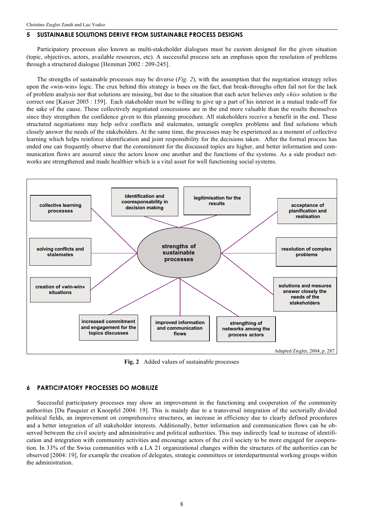### **5 SUSTAINABLE SOLUTIONS DERIVE FROM SUSTAINABLE PROCESS DESIGNS**

Participatory processes also known as multi-stakeholder dialogues must be custom designed for the given situation (topic, objectives, actors, available resources, etc). A successful process sets an emphasis upon the resolution of problems through a structured dialogue [Hemmati 2002 : 209-245].

The strengths of sustainable processes may be diverse (*Fig. 2*), with the assumption that the negotiation strategy relies upon the «win-win» logic. The crux behind this strategy is bases on the fact, that break-throughs often fail not for the lack of problem analysis nor that solutions are missing, but due to the situation that each actor believes only *«his»* solution is the correct one [Kaiser 2005 : 159]. Each stakeholder must be willing to give up a part of his interest in a mutual trade-off for the sake of the cause. These collectively negotiated concessions are in the end more valuable than the results themselves since they strengthen the confidence given to this planning procedure. All stakeholders receive a benefit in the end. These structured negotiations may help solve conflicts and stalemates, untangle complex problems and find solutions which closely answer the needs of the stakeholders. At the same time, the processes may be experienced as a moment of collective learning which helps reinforce identification and joint responsibility for the decisions taken. After the formal process has ended one can frequently observe that the commitment for the discussed topics are higher, and better information and communication flows are assured since the actors know one another and the functions of the systems. As a side product networks are strengthened and made healthier which is a vital asset for well functioning social systems.



**Fig. 2** Added values of sustainable processes

### **6 PARTICIPATORY PROCESSES DO MOBILIZE**

Successful participatory processes may show an improvement in the functioning and cooperation of the community authorities [Du Pasquier et Knoepfel 2004: 19]. This is mainly due to a transversal integration of the sectorially divided political fields, an improvement on comprehensive structures, an increase in efficiency due to clearly defined procedures and a better integration of all stakeholder interests. Additionally, better information and communication flows can be observed between the civil society and administrative and political authorities. This may indirectly lead to increase of identification and integration with community activities and encourage actors of the civil society to be more engaged for cooperation. In 33% of the Swiss communities with a LA 21 organizational changes within the structures of the authorities can be observed [2004: 19], for example the creation of delegates, strategic committees or interdepartmental working groups within the administration.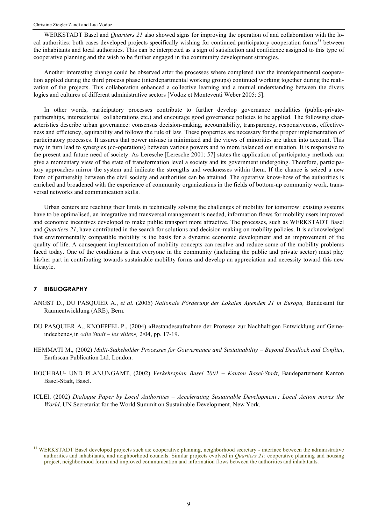WERKSTADT Basel and *Quartiers 21* also showed signs for improving the operation of and collaboration with the local authorities: both cases developed projects specifically wishing for continued participatory cooperation forms *<sup>11</sup>* between the inhabitants and local authorities. This can be interpreted as a sign of satisfaction and confidence assigned to this type of cooperative planning and the wish to be further engaged in the community development strategies.

Another interesting change could be observed after the processes where completed that the interdepartmental cooperation applied during the third process phase (interdepartmental working groups) continued working together during the realization of the projects. This collaboration enhanced a collective learning and a mutual understanding between the divers logics and cultures of different administrative sectors [Vodoz et Monteventi Weber 2005: 5].

In other words, participatory processes contribute to further develop governance modalities (public-privatepartnerships, intersectorial collaborations etc.) and encourage good governance policies to be applied. The following characteristics describe urban governance: consensus decision-making, accountability, transparency, responsiveness, effectiveness and efficiency, equitability and follows the rule of law. These properties are necessary for the proper implementation of participatory processes. It assures that power misuse is minimized and the views of minorities are taken into account. This may in turn lead to synergies (co-operations) between various powers and to more balanced out situation. It is responsive to the present and future need of society. As Leresche [Leresche 2001: 57] states the application of participatory methods can give a momentary view of the state of transformation level a society and its government undergoing. Therefore, participatory approaches mirror the system and indicate the strengths and weaknesses within them. If the chance is seized a new form of partnership between the civil society and authorities can be attained. The operative know-how of the authorities is enriched and broadened with the experience of community organizations in the fields of bottom-up community work, transversal networks and communication skills.

Urban centers are reaching their limits in technically solving the challenges of mobility for tomorrow: existing systems have to be optimalised, an integrative and transversal management is needed, information flows for mobility users improved and economic incentives developed to make public transport more attractive. The processes, such as WERKSTADT Basel and *Quartiers 21*, have contributed in the search for solutions and decision-making on mobility policies. It is acknowledged that environmentally compatible mobility is the basis for a dynamic economic development and an improvement of the quality of life. A consequent implementation of mobility concepts can resolve and reduce some of the mobility problems faced today. One of the conditions is that everyone in the community (including the public and private sector) must play his/her part in contributing towards sustainable mobility forms and develop an appreciation and necessity toward this new lifestyle.

### **7 BIBLIOGRAPHY**

- ANGST D., DU PASQUIER A., *et al.* (2005) *Nationale Förderung der Lokalen Agenden 21 in Europa,* Bundesamt für Raumentwicklung (ARE), Bern.
- DU PASQUIER A., KNOEPFEL P., (2004) «Bestandesaufnahme der Prozesse zur Nachhaltigen Entwicklung auf Gemeindeebene*»,*in *«die Stadt – les villes»,* 2/04, pp. 17-19.
- HEMMATI M., (2002) *Multi-Stakeholder Processes for Gouvernance and Sustainability – Beyond Deadlock and Conflict*, Earthscan Publication Ltd. London.
- HOCHBAU- UND PLANUNGAMT, (2002) *Verkehrsplan Basel 2001 – Kanton Basel-Stadt*, Baudepartement Kanton Basel-Stadt, Basel.
- ICLEI, (2002) *Dialogue Paper by Local Authorities – Accelerating Sustainable Development : Local Action moves the World,* UN Secretariat for the World Summit on Sustainable Development, New York.

<sup>&</sup>lt;sup>11</sup> WERKSTADT Basel developed projects such as: cooperative planning, neighborhood secretary - interface between the administrative authorities and inhabitants, and neighborhood councils. Similar projects evolved in *Quartiers 21*: cooperative planning and housing project, neighborhood forum and improved communication and information flows between the authorities and inhabitants.